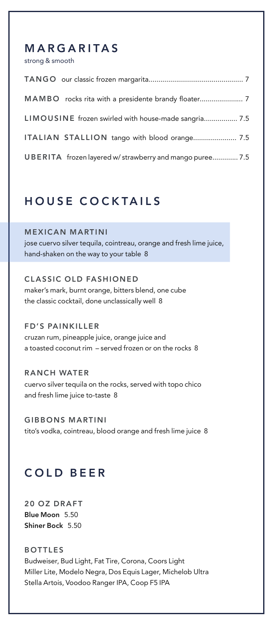#### **MARGARITAS**

strong & smooth

| LIMOUSINE frozen swirled with house-made sangria 7.5     |
|----------------------------------------------------------|
| ITALIAN STALLION tango with blood orange 7.5             |
| UBERITA frozen layered w/ strawberry and mango puree 7.5 |

#### **HOUSE COCKTAILS**

**MEXICAN MARTINI** jose cuervo silver tequila, cointreau, orange and fresh lime juice, hand-shaken on the way to your table 8

**CLASSIC OLD FASHIONED** maker's mark, burnt orange, bitters blend, one cube the classic cocktail, done unclassically well 8

**FD'S PAINKILLER** cruzan rum, pineapple juice, orange juice and a toasted coconut rim – served frozen or on the rocks 8

**R ANCH WATER** cuervo silver tequila on the rocks, served with topo chico and fresh lime juice to-taste 8

**GIBBONS MARTINI** tito's vodka, cointreau, blood orange and fresh lime juice 8

## **COLD BEER**

**20 OZ DRAFT Blue Moon** 5.50 **Shiner Bock** 5.50

**BOTTLES** Budweiser, Bud Light, Fat Tire, Corona, Coors Light Miller Lite, Modelo Negra, Dos Equis Lager, Michelob Ultra Stella Artois, Voodoo Ranger IPA, Coop F5 IPA